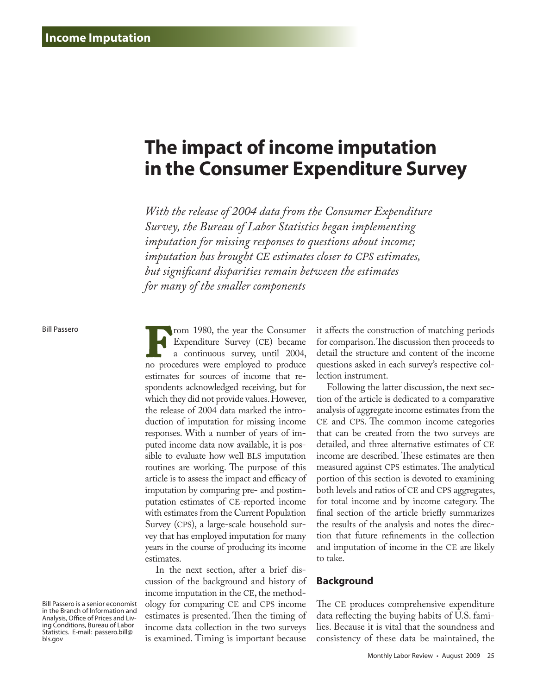# **The impact of income imputation in the Consumer Expenditure Survey**

*With the release of 2004 data from the Consumer Expenditure Survey, the Bureau of Labor Statistics began implementing imputation for missing responses to questions about income; imputation has brought CE estimates closer to CPS estimates, but significant disparities remain between the estimates for many of the smaller components*

#### Bill Passero

Bill Passero is a senior economist in the Branch of Information and Analysis, Office of Prices and Living Conditions, Bureau of Labor Statistics. E-mail: passero.bill@ bls.gov

**From 1980**, the year the Consumer<br>Expenditure Survey (CE) became<br>a continuous survey, until 2004,<br>no procedures were employed to produce Expenditure Survey (CE) became a continuous survey, until 2004, no procedures were employed to produce estimates for sources of income that respondents acknowledged receiving, but for which they did not provide values. However, the release of 2004 data marked the introduction of imputation for missing income responses. With a number of years of imputed income data now available, it is possible to evaluate how well BLS imputation routines are working. The purpose of this article is to assess the impact and efficacy of imputation by comparing pre- and postimputation estimates of CE-reported income with estimates from the Current Population Survey (CPS), a large-scale household survey that has employed imputation for many years in the course of producing its income estimates.

In the next section, after a brief discussion of the background and history of income imputation in the CE, the methodology for comparing CE and CPS income estimates is presented. Then the timing of income data collection in the two surveys is examined. Timing is important because

it affects the construction of matching periods for comparison. The discussion then proceeds to detail the structure and content of the income questions asked in each survey's respective collection instrument.

Following the latter discussion, the next section of the article is dedicated to a comparative analysis of aggregate income estimates from the CE and CPS. The common income categories that can be created from the two surveys are detailed, and three alternative estimates of CE income are described. These estimates are then measured against CPS estimates. The analytical portion of this section is devoted to examining both levels and ratios of CE and CPS aggregates, for total income and by income category. The final section of the article briefly summarizes the results of the analysis and notes the direction that future refinements in the collection and imputation of income in the CE are likely to take.

### **Background**

The CE produces comprehensive expenditure data reflecting the buying habits of U.S. families. Because it is vital that the soundness and consistency of these data be maintained, the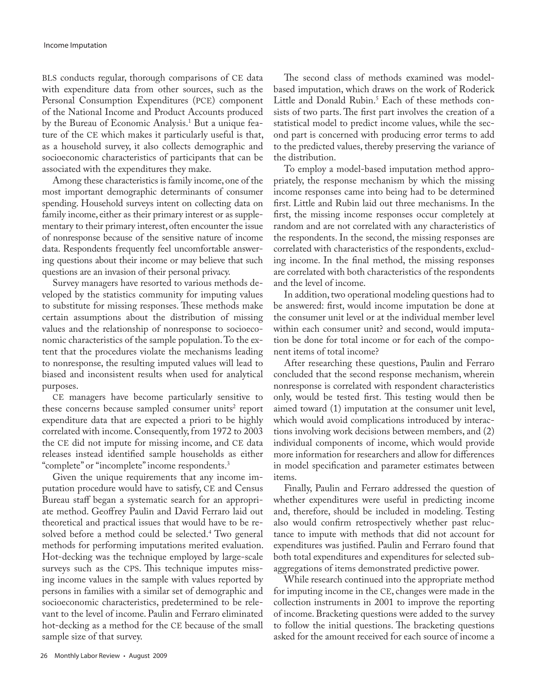BLS conducts regular, thorough comparisons of CE data with expenditure data from other sources, such as the Personal Consumption Expenditures (PCE) component of the National Income and Product Accounts produced by the Bureau of Economic Analysis.<sup>1</sup> But a unique feature of the CE which makes it particularly useful is that, as a household survey, it also collects demographic and socioeconomic characteristics of participants that can be associated with the expenditures they make.

Among these characteristics is family income, one of the most important demographic determinants of consumer spending. Household surveys intent on collecting data on family income, either as their primary interest or as supplementary to their primary interest, often encounter the issue of nonresponse because of the sensitive nature of income data. Respondents frequently feel uncomfortable answering questions about their income or may believe that such questions are an invasion of their personal privacy.

Survey managers have resorted to various methods developed by the statistics community for imputing values to substitute for missing responses. These methods make certain assumptions about the distribution of missing values and the relationship of nonresponse to socioeconomic characteristics of the sample population. To the extent that the procedures violate the mechanisms leading to nonresponse, the resulting imputed values will lead to biased and inconsistent results when used for analytical purposes.

CE managers have become particularly sensitive to these concerns because sampled consumer units<sup>2</sup> report expenditure data that are expected a priori to be highly correlated with income. Consequently, from 1972 to 2003 the CE did not impute for missing income, and CE data releases instead identified sample households as either "complete" or "incomplete" income respondents.<sup>3</sup>

Given the unique requirements that any income imputation procedure would have to satisfy, CE and Census Bureau staff began a systematic search for an appropriate method. Geoffrey Paulin and David Ferraro laid out theoretical and practical issues that would have to be resolved before a method could be selected.<sup>4</sup> Two general methods for performing imputations merited evaluation. Hot-decking was the technique employed by large-scale surveys such as the CPS. This technique imputes missing income values in the sample with values reported by persons in families with a similar set of demographic and socioeconomic characteristics, predetermined to be relevant to the level of income. Paulin and Ferraro eliminated hot-decking as a method for the CE because of the small sample size of that survey.

The second class of methods examined was modelbased imputation, which draws on the work of Roderick Little and Donald Rubin.<sup>5</sup> Each of these methods consists of two parts. The first part involves the creation of a statistical model to predict income values, while the second part is concerned with producing error terms to add to the predicted values, thereby preserving the variance of the distribution.

To employ a model-based imputation method appropriately, the response mechanism by which the missing income responses came into being had to be determined first. Little and Rubin laid out three mechanisms. In the first, the missing income responses occur completely at random and are not correlated with any characteristics of the respondents. In the second, the missing responses are correlated with characteristics of the respondents, excluding income. In the final method, the missing responses are correlated with both characteristics of the respondents and the level of income.

In addition, two operational modeling questions had to be answered: first, would income imputation be done at the consumer unit level or at the individual member level within each consumer unit? and second, would imputation be done for total income or for each of the component items of total income?

After researching these questions, Paulin and Ferraro concluded that the second response mechanism, wherein nonresponse is correlated with respondent characteristics only, would be tested first. This testing would then be aimed toward (1) imputation at the consumer unit level, which would avoid complications introduced by interactions involving work decisions between members, and (2) individual components of income, which would provide more information for researchers and allow for differences in model specification and parameter estimates between items.

Finally, Paulin and Ferraro addressed the question of whether expenditures were useful in predicting income and, therefore, should be included in modeling. Testing also would confirm retrospectively whether past reluctance to impute with methods that did not account for expenditures was justified. Paulin and Ferraro found that both total expenditures and expenditures for selected subaggregations of items demonstrated predictive power.

While research continued into the appropriate method for imputing income in the CE, changes were made in the collection instruments in 2001 to improve the reporting of income. Bracketing questions were added to the survey to follow the initial questions. The bracketing questions asked for the amount received for each source of income a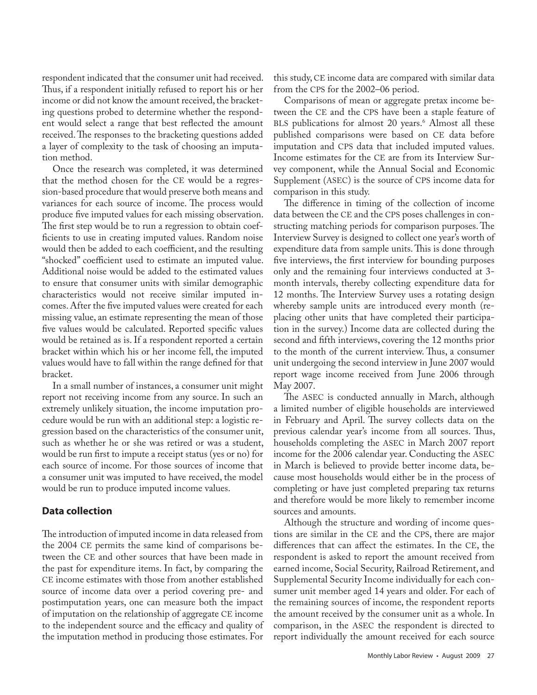respondent indicated that the consumer unit had received. Thus, if a respondent initially refused to report his or her income or did not know the amount received, the bracketing questions probed to determine whether the respondent would select a range that best reflected the amount received. The responses to the bracketing questions added a layer of complexity to the task of choosing an imputation method.

Once the research was completed, it was determined that the method chosen for the CE would be a regression-based procedure that would preserve both means and variances for each source of income. The process would produce five imputed values for each missing observation. The first step would be to run a regression to obtain coefficients to use in creating imputed values. Random noise would then be added to each coefficient, and the resulting "shocked" coefficient used to estimate an imputed value. Additional noise would be added to the estimated values to ensure that consumer units with similar demographic characteristics would not receive similar imputed incomes. After the five imputed values were created for each missing value, an estimate representing the mean of those five values would be calculated. Reported specific values would be retained as is. If a respondent reported a certain bracket within which his or her income fell, the imputed values would have to fall within the range defined for that bracket.

In a small number of instances, a consumer unit might report not receiving income from any source. In such an extremely unlikely situation, the income imputation procedure would be run with an additional step: a logistic regression based on the characteristics of the consumer unit, such as whether he or she was retired or was a student, would be run first to impute a receipt status (yes or no) for each source of income. For those sources of income that a consumer unit was imputed to have received, the model would be run to produce imputed income values.

### **Data collection**

The introduction of imputed income in data released from the 2004 CE permits the same kind of comparisons between the CE and other sources that have been made in the past for expenditure items. In fact, by comparing the CE income estimates with those from another established source of income data over a period covering pre- and postimputation years, one can measure both the impact of imputation on the relationship of aggregate CE income to the independent source and the efficacy and quality of the imputation method in producing those estimates. For

this study, CE income data are compared with similar data from the CPS for the 2002–06 period.

Comparisons of mean or aggregate pretax income between the CE and the CPS have been a staple feature of BLS publications for almost 20 years.<sup>6</sup> Almost all these published comparisons were based on CE data before imputation and CPS data that included imputed values. Income estimates for the CE are from its Interview Survey component, while the Annual Social and Economic Supplement (ASEC) is the source of CPS income data for comparison in this study.

The difference in timing of the collection of income data between the CE and the CPS poses challenges in constructing matching periods for comparison purposes. The Interview Survey is designed to collect one year's worth of expenditure data from sample units. This is done through five interviews, the first interview for bounding purposes only and the remaining four interviews conducted at 3 month intervals, thereby collecting expenditure data for 12 months. The Interview Survey uses a rotating design whereby sample units are introduced every month (replacing other units that have completed their participation in the survey.) Income data are collected during the second and fifth interviews, covering the 12 months prior to the month of the current interview. Thus, a consumer unit undergoing the second interview in June 2007 would report wage income received from June 2006 through May 2007.

The ASEC is conducted annually in March, although a limited number of eligible households are interviewed in February and April. The survey collects data on the previous calendar year's income from all sources. Thus, households completing the ASEC in March 2007 report income for the 2006 calendar year. Conducting the ASEC in March is believed to provide better income data, because most households would either be in the process of completing or have just completed preparing tax returns and therefore would be more likely to remember income sources and amounts.

Although the structure and wording of income questions are similar in the CE and the CPS, there are major differences that can affect the estimates. In the CE, the respondent is asked to report the amount received from earned income, Social Security, Railroad Retirement, and Supplemental Security Income individually for each consumer unit member aged 14 years and older. For each of the remaining sources of income, the respondent reports the amount received by the consumer unit as a whole. In comparison, in the ASEC the respondent is directed to report individually the amount received for each source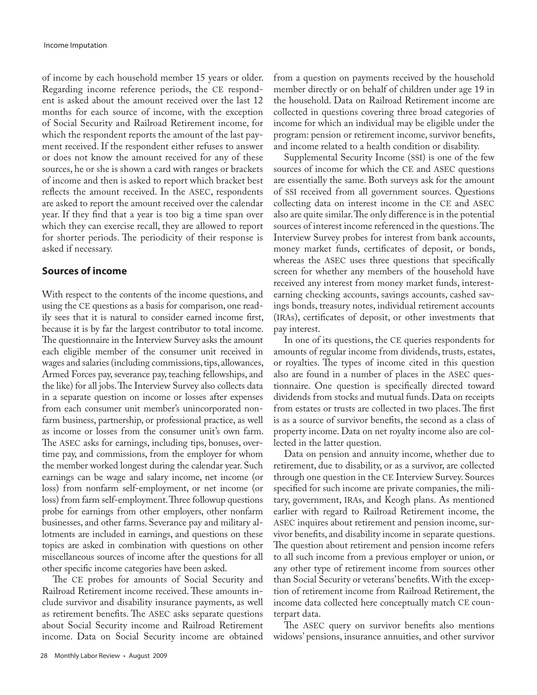of income by each household member 15 years or older. Regarding income reference periods, the CE respondent is asked about the amount received over the last 12 months for each source of income, with the exception of Social Security and Railroad Retirement income, for which the respondent reports the amount of the last payment received. If the respondent either refuses to answer or does not know the amount received for any of these sources, he or she is shown a card with ranges or brackets of income and then is asked to report which bracket best reflects the amount received. In the ASEC, respondents are asked to report the amount received over the calendar year. If they find that a year is too big a time span over which they can exercise recall, they are allowed to report for shorter periods. The periodicity of their response is asked if necessary.

# **Sources of income**

With respect to the contents of the income questions, and using the CE questions as a basis for comparison, one readily sees that it is natural to consider earned income first, because it is by far the largest contributor to total income. The questionnaire in the Interview Survey asks the amount each eligible member of the consumer unit received in wages and salaries (including commissions, tips, allowances, Armed Forces pay, severance pay, teaching fellowships, and the like) for all jobs. The Interview Survey also collects data in a separate question on income or losses after expenses from each consumer unit member's unincorporated nonfarm business, partnership, or professional practice, as well as income or losses from the consumer unit's own farm. The ASEC asks for earnings, including tips, bonuses, overtime pay, and commissions, from the employer for whom the member worked longest during the calendar year. Such earnings can be wage and salary income, net income (or loss) from nonfarm self-employment, or net income (or loss) from farm self-employment. Three followup questions probe for earnings from other employers, other nonfarm businesses, and other farms. Severance pay and military allotments are included in earnings, and questions on these topics are asked in combination with questions on other miscellaneous sources of income after the questions for all other specific income categories have been asked.

The CE probes for amounts of Social Security and Railroad Retirement income received. These amounts include survivor and disability insurance payments, as well as retirement benefits. The ASEC asks separate questions about Social Security income and Railroad Retirement income. Data on Social Security income are obtained from a question on payments received by the household member directly or on behalf of children under age 19 in the household. Data on Railroad Retirement income are collected in questions covering three broad categories of income for which an individual may be eligible under the program: pension or retirement income, survivor benefits, and income related to a health condition or disability.

Supplemental Security Income (SSI) is one of the few sources of income for which the CE and ASEC questions are essentially the same. Both surveys ask for the amount of SSI received from all government sources. Questions collecting data on interest income in the CE and ASEC also are quite similar. The only difference is in the potential sources of interest income referenced in the questions. The Interview Survey probes for interest from bank accounts, money market funds, certificates of deposit, or bonds, whereas the ASEC uses three questions that specifically screen for whether any members of the household have received any interest from money market funds, interestearning checking accounts, savings accounts, cashed savings bonds, treasury notes, individual retirement accounts (IRAs), certificates of deposit, or other investments that pay interest.

In one of its questions, the CE queries respondents for amounts of regular income from dividends, trusts, estates, or royalties. The types of income cited in this question also are found in a number of places in the ASEC questionnaire. One question is specifically directed toward dividends from stocks and mutual funds. Data on receipts from estates or trusts are collected in two places. The first is as a source of survivor benefits, the second as a class of property income. Data on net royalty income also are collected in the latter question.

Data on pension and annuity income, whether due to retirement, due to disability, or as a survivor, are collected through one question in the CE Interview Survey. Sources specified for such income are private companies, the military, government, IRAs, and Keogh plans. As mentioned earlier with regard to Railroad Retirement income, the ASEC inquires about retirement and pension income, survivor benefits, and disability income in separate questions. The question about retirement and pension income refers to all such income from a previous employer or union, or any other type of retirement income from sources other than Social Security or veterans' benefits. With the exception of retirement income from Railroad Retirement, the income data collected here conceptually match CE counterpart data.

The ASEC query on survivor benefits also mentions widows' pensions, insurance annuities, and other survivor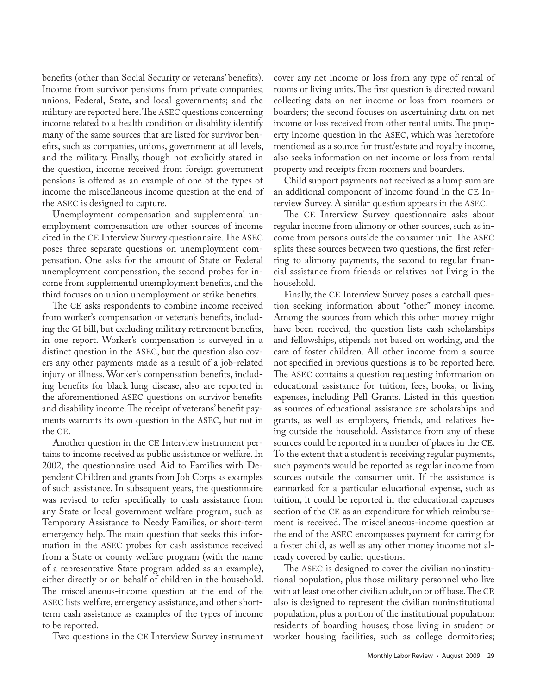benefits (other than Social Security or veterans' benefits). Income from survivor pensions from private companies; unions; Federal, State, and local governments; and the military are reported here. The ASEC questions concerning income related to a health condition or disability identify many of the same sources that are listed for survivor benefits, such as companies, unions, government at all levels, and the military. Finally, though not explicitly stated in the question, income received from foreign government pensions is offered as an example of one of the types of income the miscellaneous income question at the end of the ASEC is designed to capture.

Unemployment compensation and supplemental unemployment compensation are other sources of income cited in the CE Interview Survey questionnaire. The ASEC poses three separate questions on unemployment compensation. One asks for the amount of State or Federal unemployment compensation, the second probes for income from supplemental unemployment benefits, and the third focuses on union unemployment or strike benefits.

The CE asks respondents to combine income received from worker's compensation or veteran's benefits, including the GI bill, but excluding military retirement benefits, in one report. Worker's compensation is surveyed in a distinct question in the ASEC, but the question also covers any other payments made as a result of a job-related injury or illness. Worker's compensation benefits, including benefits for black lung disease, also are reported in the aforementioned ASEC questions on survivor benefits and disability income. The receipt of veterans' benefit payments warrants its own question in the ASEC, but not in the CE.

Another question in the CE Interview instrument pertains to income received as public assistance or welfare. In 2002, the questionnaire used Aid to Families with Dependent Children and grants from Job Corps as examples of such assistance. In subsequent years, the questionnaire was revised to refer specifically to cash assistance from any State or local government welfare program, such as Temporary Assistance to Needy Families, or short-term emergency help. The main question that seeks this information in the ASEC probes for cash assistance received from a State or county welfare program (with the name of a representative State program added as an example), either directly or on behalf of children in the household. The miscellaneous-income question at the end of the ASEC lists welfare, emergency assistance, and other shortterm cash assistance as examples of the types of income to be reported.

Two questions in the CE Interview Survey instrument

cover any net income or loss from any type of rental of rooms or living units. The first question is directed toward collecting data on net income or loss from roomers or boarders; the second focuses on ascertaining data on net income or loss received from other rental units. The property income question in the ASEC, which was heretofore mentioned as a source for trust/estate and royalty income, also seeks information on net income or loss from rental property and receipts from roomers and boarders.

Child support payments not received as a lump sum are an additional component of income found in the CE Interview Survey. A similar question appears in the ASEC.

The CE Interview Survey questionnaire asks about regular income from alimony or other sources, such as income from persons outside the consumer unit. The ASEC splits these sources between two questions, the first referring to alimony payments, the second to regular financial assistance from friends or relatives not living in the household.

Finally, the CE Interview Survey poses a catchall question seeking information about "other" money income. Among the sources from which this other money might have been received, the question lists cash scholarships and fellowships, stipends not based on working, and the care of foster children. All other income from a source not specified in previous questions is to be reported here. The ASEC contains a question requesting information on educational assistance for tuition, fees, books, or living expenses, including Pell Grants. Listed in this question as sources of educational assistance are scholarships and grants, as well as employers, friends, and relatives living outside the household. Assistance from any of these sources could be reported in a number of places in the CE. To the extent that a student is receiving regular payments, such payments would be reported as regular income from sources outside the consumer unit. If the assistance is earmarked for a particular educational expense, such as tuition, it could be reported in the educational expenses section of the CE as an expenditure for which reimbursement is received. The miscellaneous-income question at the end of the ASEC encompasses payment for caring for a foster child, as well as any other money income not already covered by earlier questions.

The ASEC is designed to cover the civilian noninstitutional population, plus those military personnel who live with at least one other civilian adult, on or off base. The CE also is designed to represent the civilian noninstitutional population, plus a portion of the institutional population: residents of boarding houses; those living in student or worker housing facilities, such as college dormitories;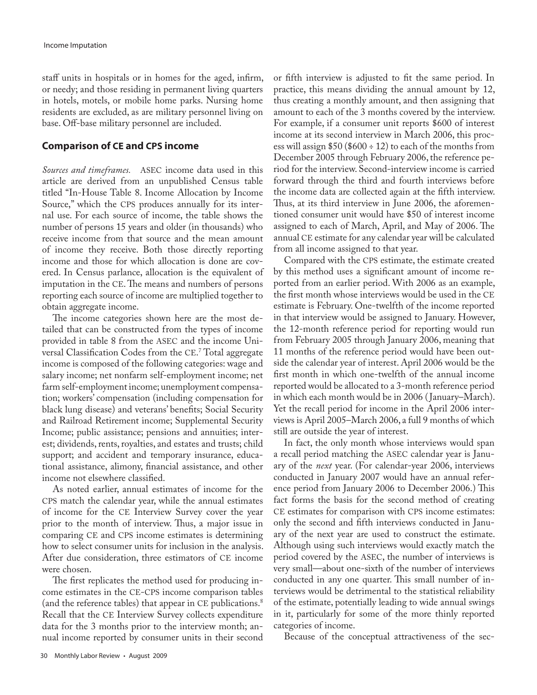staff units in hospitals or in homes for the aged, infirm, or needy; and those residing in permanent living quarters in hotels, motels, or mobile home parks. Nursing home residents are excluded, as are military personnel living on base. Off-base military personnel are included.

## **Comparison of CE and CPS income**

*Sources and timeframes.* ASEC income data used in this article are derived from an unpublished Census table titled "In-House Table 8. Income Allocation by Income Source," which the CPS produces annually for its internal use. For each source of income, the table shows the number of persons 15 years and older (in thousands) who receive income from that source and the mean amount of income they receive. Both those directly reporting income and those for which allocation is done are covered. In Census parlance, allocation is the equivalent of imputation in the CE. The means and numbers of persons reporting each source of income are multiplied together to obtain aggregate income.

The income categories shown here are the most detailed that can be constructed from the types of income provided in table 8 from the ASEC and the income Universal Classification Codes from the CE. 7 Total aggregate income is composed of the following categories: wage and salary income; net nonfarm self-employment income; net farm self-employment income; unemployment compensation; workers' compensation (including compensation for black lung disease) and veterans' benefits; Social Security and Railroad Retirement income; Supplemental Security Income; public assistance; pensions and annuities; interest; dividends, rents, royalties, and estates and trusts; child support; and accident and temporary insurance, educational assistance, alimony, financial assistance, and other income not elsewhere classified.

As noted earlier, annual estimates of income for the CPS match the calendar year, while the annual estimates of income for the CE Interview Survey cover the year prior to the month of interview. Thus, a major issue in comparing CE and CPS income estimates is determining how to select consumer units for inclusion in the analysis. After due consideration, three estimators of CE income were chosen.

The first replicates the method used for producing income estimates in the CE-CPS income comparison tables (and the reference tables) that appear in CE publications.<sup>8</sup> Recall that the CE Interview Survey collects expenditure data for the 3 months prior to the interview month; annual income reported by consumer units in their second

or fifth interview is adjusted to fit the same period. In practice, this means dividing the annual amount by 12, thus creating a monthly amount, and then assigning that amount to each of the 3 months covered by the interview. For example, if a consumer unit reports \$600 of interest income at its second interview in March 2006, this process will assign  $$50 ($600 \div 12$)$  to each of the months from December 2005 through February 2006, the reference period for the interview. Second-interview income is carried forward through the third and fourth interviews before the income data are collected again at the fifth interview. Thus, at its third interview in June 2006, the aforementioned consumer unit would have \$50 of interest income assigned to each of March, April, and May of 2006. The annual CE estimate for any calendar year will be calculated from all income assigned to that year.

Compared with the CPS estimate, the estimate created by this method uses a significant amount of income reported from an earlier period. With 2006 as an example, the first month whose interviews would be used in the CE estimate is February. One-twelfth of the income reported in that interview would be assigned to January. However, the 12-month reference period for reporting would run from February 2005 through January 2006, meaning that 11 months of the reference period would have been outside the calendar year of interest. April 2006 would be the first month in which one-twelfth of the annual income reported would be allocated to a 3-month reference period in which each month would be in 2006 ( January–March). Yet the recall period for income in the April 2006 interviews is April 2005–March 2006, a full 9 months of which still are outside the year of interest.

In fact, the only month whose interviews would span a recall period matching the ASEC calendar year is January of the *next* year. (For calendar-year 2006, interviews conducted in January 2007 would have an annual reference period from January 2006 to December 2006.) This fact forms the basis for the second method of creating CE estimates for comparison with CPS income estimates: only the second and fifth interviews conducted in January of the next year are used to construct the estimate. Although using such interviews would exactly match the period covered by the ASEC, the number of interviews is very small—about one-sixth of the number of interviews conducted in any one quarter. This small number of interviews would be detrimental to the statistical reliability of the estimate, potentially leading to wide annual swings in it, particularly for some of the more thinly reported categories of income.

Because of the conceptual attractiveness of the sec-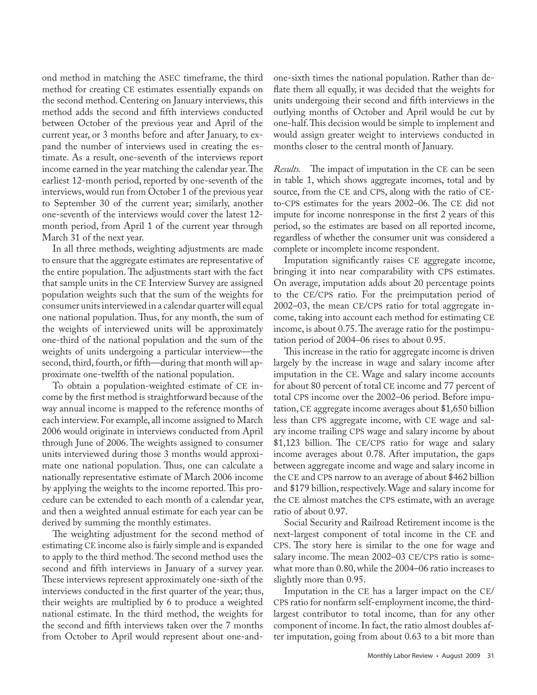ond method in matching the ASEC timeframe, the third method for creating CE estimates essentially expands on the second method. Centering on January interviews, this method adds the second and fifth interviews conducted between October of the previous year and April of the current year, or 3 months before and after January, to expand the number of interviews used in creating the estimate. As a result, one-seventh of the interviews report income earned in the year matching the calendar year. The earliest 12-month period, reported by one-seventh of the interviews, would run from October 1 of the previous year to September 30 of the current year; similarly, another one-seventh of the interviews would cover the latest 12 month period, from April 1 of the current year through March 31 of the next year.

In all three methods, weighting adjustments are made to ensure that the aggregate estimates are representative of the entire population. The adjustments start with the fact that sample units in the CE Interview Survey are assigned population weights such that the sum of the weights for consumer units interviewed in a calendar quarter will equal one national population. Thus, for any month, the sum of the weights of interviewed units will be approximately one-third of the national population and the sum of the weights of units undergoing a particular interview—the second, third, fourth, or fifth—during that month will approximate one-twelfth of the national population.

To obtain a population-weighted estimate of CE income by the first method is straightforward because of the way annual income is mapped to the reference months of each interview. For example, all income assigned to March 2006 would originate in interviews conducted from April through June of 2006. The weights assigned to consumer units interviewed during those 3 months would approximate one national population. Thus, one can calculate a nationally representative estimate of March 2006 income by applying the weights to the income reported. This procedure can be extended to each month of a calendar year, and then a weighted annual estimate for each year can be derived by summing the monthly estimates.

The weighting adjustment for the second method of estimating CE income also is fairly simple and is expanded to apply to the third method. The second method uses the second and fifth interviews in January of a survey year. These interviews represent approximately one-sixth of the interviews conducted in the first quarter of the year; thus, their weights are multiplied by 6 to produce a weighted national estimate. In the third method, the weights for the second and fifth interviews taken over the 7 months from October to April would represent about one-andone-sixth times the national population. Rather than deflate them all equally, it was decided that the weights for units undergoing their second and fifth interviews in the outlying months of October and April would be cut by one-half. This decision would be simple to implement and would assign greater weight to interviews conducted in months closer to the central month of January.

*Results.* The impact of imputation in the CE can be seen in table 1, which shows aggregate incomes, total and by source, from the CE and CPS, along with the ratio of CEto-CPS estimates for the years 2002–06. The CE did not impute for income nonresponse in the first 2 years of this period, so the estimates are based on all reported income, regardless of whether the consumer unit was considered a complete or incomplete income respondent.

Imputation significantly raises CE aggregate income, bringing it into near comparability with CPS estimates. On average, imputation adds about 20 percentage points to the CE/CPS ratio. For the preimputation period of 2002–03, the mean CE/CPS ratio for total aggregate income, taking into account each method for estimating CE income, is about 0.75. The average ratio for the postimputation period of 2004–06 rises to about 0.95.

This increase in the ratio for aggregate income is driven largely by the increase in wage and salary income after imputation in the CE. Wage and salary income accounts for about 80 percent of total CE income and 77 percent of total CPS income over the 2002–06 period. Before imputation, CE aggregate income averages about \$1,650 billion less than CPS aggregate income, with CE wage and salary income trailing CPS wage and salary income by about \$1,123 billion. The CE/CPS ratio for wage and salary income averages about 0.78. After imputation, the gaps between aggregate income and wage and salary income in the CE and CPS narrow to an average of about \$462 billion and \$179 billion, respectively. Wage and salary income for the CE almost matches the CPS estimate, with an average ratio of about 0.97.

Social Security and Railroad Retirement income is the next-largest component of total income in the CE and CPS. The story here is similar to the one for wage and salary income. The mean 2002–03 CE/CPS ratio is somewhat more than 0.80, while the 2004–06 ratio increases to slightly more than 0.95.

Imputation in the CE has a larger impact on the CE/ CPS ratio for nonfarm self-employment income, the thirdlargest contributor to total income, than for any other component of income. In fact, the ratio almost doubles after imputation, going from about 0.63 to a bit more than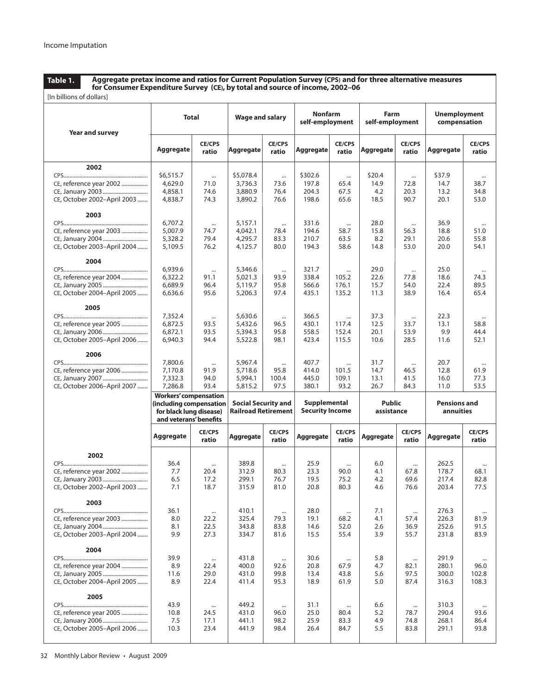**Table 1.**

**Aggregate pretax income and ratios for Current Population Survey (CPS) and for three alternative measures for Consumer Expenditure Survey (CE), by total and source of income, 2002–06**

| [In billions of dollars]                                                           |                                                                                                              |                                  |                                                          |                                   |                                        |                                     |                               |                                  |                                     |                                  |
|------------------------------------------------------------------------------------|--------------------------------------------------------------------------------------------------------------|----------------------------------|----------------------------------------------------------|-----------------------------------|----------------------------------------|-------------------------------------|-------------------------------|----------------------------------|-------------------------------------|----------------------------------|
| Year and survey                                                                    | Total                                                                                                        |                                  | <b>Wage and salary</b>                                   |                                   | <b>Nonfarm</b><br>self-employment      |                                     | Farm<br>self-employment       |                                  | <b>Unemployment</b><br>compensation |                                  |
|                                                                                    | Aggregate                                                                                                    | <b>CE/CPS</b><br>ratio           | <b>Aggregate</b>                                         | <b>CE/CPS</b><br>ratio            | Aggregate                              | <b>CE/CPS</b><br>ratio              | Aggregate                     | <b>CE/CPS</b><br>ratio           | Aggregate                           | <b>CE/CPS</b><br>ratio           |
| 2002<br>CE, reference year 2002<br>CE, October 2002-April 2003                     | \$6,515.7<br>4,629.0<br>4,858.1<br>4,838.7                                                                   | $\cdots$<br>71.0<br>74.6<br>74.3 | \$5,078.4<br>3,736.3<br>3,880.9<br>3,890.2               | $\cdots$<br>73.6<br>76.4<br>76.6  | \$302.6<br>197.8<br>204.3<br>198.6     | $\cdots$<br>65.4<br>67.5<br>65.6    | \$20.4<br>14.9<br>4.2<br>18.5 | $\cdots$<br>72.8<br>20.3<br>90.7 | \$37.9<br>14.7<br>13.2<br>20.1      | $\cdots$<br>38.7<br>34.8<br>53.0 |
| 2003<br>CE, reference year 2003<br>CE, January 2004<br>CE, October 2003-April 2004 | 6,707.2<br>5,007.9<br>5,328.2<br>5,109.5                                                                     | $\cdots$<br>74.7<br>79.4<br>76.2 | 5,157.1<br>4,042.1<br>4,295.7<br>4,125.7                 | $\cdots$<br>78.4<br>83.3<br>80.0  | 331.6<br>194.6<br>210.7<br>194.3       | $\cdots$<br>58.7<br>63.5<br>58.6    | 28.0<br>15.8<br>8.2<br>14.8   | $\cdots$<br>56.3<br>29.1<br>53.0 | 36.9<br>18.8<br>20.6<br>20.0        | $\cdots$<br>51.0<br>55.8<br>54.1 |
| 2004<br>CE, reference year 2004<br>CE, January 2005<br>CE, October 2004-April 2005 | 6,939.6<br>6,322.2<br>6,689.9<br>6,636.6                                                                     | $\cdots$<br>91.1<br>96.4<br>95.6 | 5,346.6<br>5,021.3<br>5,119.7<br>5,206.3                 | $\cdots$<br>93.9<br>95.8<br>97.4  | 321.7<br>338.4<br>566.6<br>435.1       | $\cdots$<br>105.2<br>176.1<br>135.2 | 29.0<br>22.6<br>15.7<br>11.3  | $\cdots$<br>77.8<br>54.0<br>38.9 | 25.0<br>18.6<br>22.4<br>16.4        | 74.3<br>89.5<br>65.4             |
| 2005<br>CE, reference year 2005<br>CE, October 2005-April 2006                     | 7,352.4<br>6,872.5<br>6,872.1<br>6,940.3                                                                     | $\cdots$<br>93.5<br>93.5<br>94.4 | 5,630.6<br>5,432.6<br>5,394.3<br>5,522.8                 | $\cdots$<br>96.5<br>95.8<br>98.1  | 366.5<br>430.1<br>558.5<br>423.4       | $\cdots$<br>117.4<br>152.4<br>115.5 | 37.3<br>12.5<br>20.1<br>10.6  | $\cdots$<br>33.7<br>53.9<br>28.5 | 22.3<br>13.1<br>9.9<br>11.6         | <br>58.8<br>44.4<br>52.1         |
| 2006<br>CE, reference year 2006<br>CE, October 2006-April 2007                     | 7,800.6<br>7,170.8<br>7,332.3<br>7,286.8                                                                     | $\cdots$<br>91.9<br>94.0<br>93.4 | 5,967.4<br>5,718.6<br>5,994.1<br>5,815.2                 | $\cdots$<br>95.8<br>100.4<br>97.5 | 407.7<br>414.0<br>445.0<br>380.1       | <br>101.5<br>109.1<br>93.2          | 31.7<br>14.7<br>13.1<br>26.7  | $\cdots$<br>46.5<br>41.5<br>84.3 | 20.7<br>12.8<br>16.0<br>11.0        | $\cdots$<br>61.9<br>77.3<br>53.5 |
|                                                                                    | <b>Workers' compensation</b><br>(including compensation<br>for black lung disease)<br>and veterans' benefits |                                  | <b>Social Security and</b><br><b>Railroad Retirement</b> |                                   | Supplemental<br><b>Security Income</b> |                                     | <b>Public</b><br>assistance   |                                  | <b>Pensions and</b><br>annuities    |                                  |
|                                                                                    | Aggregate                                                                                                    | <b>CE/CPS</b><br>ratio           | Aggregate                                                | <b>CE/CPS</b><br>ratio            | Aggregate                              | <b>CE/CPS</b><br>ratio              | Aggregate                     | <b>CE/CPS</b><br>ratio           | Aggregate                           | <b>CE/CPS</b><br>ratio           |
| 2002<br>CE, reference year 2002<br>CE, October 2002-April 2003                     | 36.4<br>7.7<br>6.5<br>7.1                                                                                    | $\cdots$<br>20.4<br>17.2<br>18.7 | 389.8<br>312.9<br>299.1<br>315.9                         | $\cdots$<br>80.3<br>76.7<br>81.0  | 25.9<br>23.3<br>19.5<br>20.8           | $\cdots$<br>90.0<br>75.2<br>80.3    | 6.0<br>4.1<br>4.2<br>4.6      | $\cdots$<br>67.8<br>69.6<br>76.6 | 262.5<br>178.7<br>217.4<br>203.4    | $\cdots$<br>68.1<br>82.8<br>77.5 |
| 2003<br>CE, reference year 2003<br>CE, October 2003-April 2004                     | 36.1<br>8.0<br>8.1<br>9.9                                                                                    | $\cdots$<br>22.2<br>22.5<br>27.3 | 410.1<br>325.4<br>343.8<br>334.7                         | $\cdots$<br>79.3<br>83.8<br>81.6  | 28.0<br>19.1<br>14.6<br>15.5           | $\cdots$<br>68.2<br>52.0<br>55.4    | 7.1<br>4.1<br>2.6<br>3.9      | $\cdots$<br>57.4<br>36.9<br>55.7 | 276.3<br>226.3<br>252.6<br>231.8    | $\cdots$<br>81.9<br>91.5<br>83.9 |
| 2004<br>CE, reference year 2004<br>CE, October 2004-April 2005                     | 39.9<br>8.9<br>11.6<br>8.9                                                                                   | $\cdots$<br>22.4<br>29.0<br>22.4 | 431.8<br>400.0<br>431.0<br>411.4                         | $\cdots$<br>92.6<br>99.8<br>95.3  | 30.6<br>20.8<br>13.4<br>18.9           | $\cdots$<br>67.9<br>43.8<br>61.9    | 5.8<br>4.7<br>5.6<br>5.0      | $\cdots$<br>82.1<br>97.5<br>87.4 | 291.9<br>280.1<br>300.0<br>316.3    | 96.0<br>102.8<br>108.3           |
| 2005<br>CE, reference year 2005<br>CE, October 2005-April 2006                     | 43.9<br>10.8<br>7.5<br>10.3                                                                                  | $\cdots$<br>24.5<br>17.1<br>23.4 | 449.2<br>431.0<br>441.1<br>441.9                         | $\cdots$<br>96.0<br>98.2<br>98.4  | 31.1<br>25.0<br>25.9<br>26.4           | $\cdots$<br>80.4<br>83.3<br>84.7    | 6.6<br>5.2<br>4.9<br>5.5      | $\cdots$<br>78.7<br>74.8<br>83.8 | 310.3<br>290.4<br>268.1<br>291.1    | 93.6<br>86.4<br>93.8             |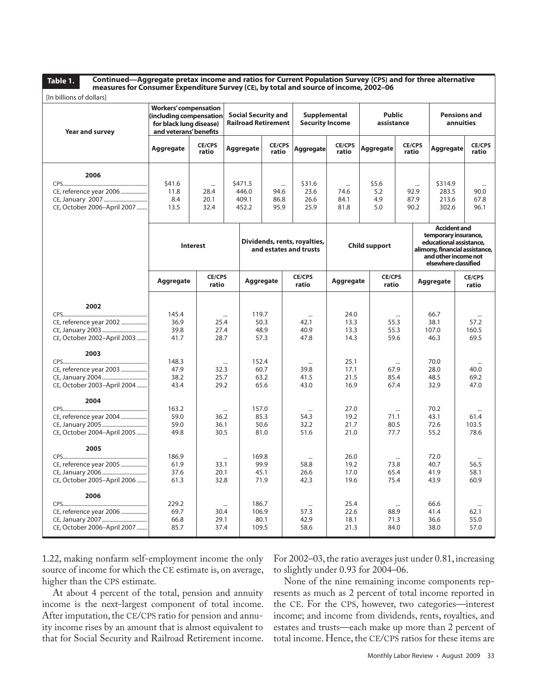**Table 1.**

**Continued—Aggregate pretax income and ratios for Current Population Survey (CPS) and for three alternative measures for Consumer Expenditure Survey (CE), by total and source of income, 2002–06**

| [In billions of dollars]                                                           |                                                                                                              |                          |                                    |                                                          |                        |                                        |                                                                    |  |                                  |                                                                                                                                                          |                                  |                                  |  |                                    |  |                                  |
|------------------------------------------------------------------------------------|--------------------------------------------------------------------------------------------------------------|--------------------------|------------------------------------|----------------------------------------------------------|------------------------|----------------------------------------|--------------------------------------------------------------------|--|----------------------------------|----------------------------------------------------------------------------------------------------------------------------------------------------------|----------------------------------|----------------------------------|--|------------------------------------|--|----------------------------------|
| Year and survey                                                                    | <b>Workers' compensation</b><br>including compensation)<br>for black lung disease)<br>and veterans' benefits |                          |                                    | <b>Social Security and</b><br><b>Railroad Retirement</b> |                        | Supplemental<br><b>Security Income</b> |                                                                    |  | <b>Public</b><br>assistance      |                                                                                                                                                          | <b>Pensions and</b><br>annuities |                                  |  |                                    |  |                                  |
|                                                                                    | Aggregate                                                                                                    | <b>CE/CPS</b><br>ratio   | <b>Aggregate</b>                   |                                                          | <b>CE/CPS</b><br>ratio | Aggregate                              | <b>CE/CPS</b><br>ratio                                             |  | Aggregate                        | ratio                                                                                                                                                    | <b>CE/CPS</b>                    | <b>Aggregate</b>                 |  | <b>CE/CPS</b><br>ratio             |  |                                  |
| 2006<br>CE, reference year 2006<br>CE, January 2007<br>CE, October 2006-April 2007 | \$41.6<br>11.8<br>8.4<br>13.5                                                                                | <br>28.4<br>20.1<br>32.4 | \$471.5<br>446.0<br>409.1<br>452.2 |                                                          |                        |                                        | \$31.6<br>$\cdots$<br>23.6<br>94.6<br>86.8<br>26.6<br>25.9<br>95.9 |  | $\cdots$<br>74.6<br>84.1<br>81.8 | \$5.6<br>5.2<br>4.9<br>5.0                                                                                                                               |                                  | $\cdots$<br>92.9<br>87.9<br>90.2 |  | \$314.9<br>283.5<br>213.6<br>302.6 |  | $\cdots$<br>90.0<br>67.8<br>96.1 |
|                                                                                    |                                                                                                              | <b>Interest</b>          |                                    | Dividends, rents, royalties,<br>and estates and trusts   |                        | <b>Child support</b>                   |                                                                    |  |                                  | <b>Accident and</b><br>temporary insurance,<br>educational assistance,<br>alimony, financial assistance,<br>and other income not<br>elsewhere classified |                                  |                                  |  |                                    |  |                                  |
|                                                                                    | Aggregate                                                                                                    | <b>CE/CPS</b><br>ratio   |                                    | Aggregate                                                |                        | <b>CE/CPS</b><br>ratio                 | Aggregate                                                          |  | <b>CE/CPS</b><br>ratio           |                                                                                                                                                          |                                  | Aggregate                        |  | <b>CE/CPS</b><br>ratio             |  |                                  |
| 2002<br>CE, reference year 2002<br>CE, January 2003<br>CE, October 2002-April 2003 | 145.4<br>36.9<br>39.8<br>41.7                                                                                | 25.4<br>27.4<br>28.7     | $\cdots$                           | 119.7<br>50.3<br>48.9<br>57.3                            |                        | $\cdots$<br>42.1<br>40.9<br>47.8       | 24.0<br>13.3<br>13.3<br>14.3                                       |  | 55.3<br>55.3<br>59.6             | $\cdots$                                                                                                                                                 |                                  | 66.7<br>38.1<br>107.0<br>46.3    |  | 57.2<br>160.5<br>69.5              |  |                                  |
| 2003<br>CE, reference year 2003<br>CE, January 2004<br>CE, October 2003-April 2004 | 148.3<br>47.9<br>38.2<br>43.4                                                                                | 32.3<br>25.7<br>29.2     | $\cdots$                           | 152.4<br>60.7<br>63.2<br>65.6                            |                        | $\cdots$<br>39.8<br>41.5<br>43.0       | 25.1<br>17.1<br>21.5<br>16.9                                       |  | 67.9<br>85.4<br>67.4             | $\cdots$                                                                                                                                                 |                                  | 70.0<br>28.0<br>48.5<br>32.9     |  | $\cdots$<br>40.0<br>69.2<br>47.0   |  |                                  |
| 2004<br>CE, reference year 2004<br>CE, January 2005<br>CE, October 2004-April 2005 | 163.2<br>59.0<br>59.0<br>49.8                                                                                | 36.2<br>36.1<br>30.5     | $\cdots$                           | 157.0<br>85.3<br>50.6<br>81.0                            |                        | $\cdots$<br>54.3<br>32.2<br>51.6       | 27.0<br>19.2<br>21.7<br>21.0                                       |  | 71.1<br>80.5<br>77.7             | $\cdots$                                                                                                                                                 |                                  | 70.2<br>43.1<br>72.6<br>55.2     |  | <br>61.4<br>103.5<br>78.6          |  |                                  |
| 2005<br>CE, reference year 2005<br>CE, October 2005-April 2006                     | 186.9<br>61.9<br>37.6<br>61.3                                                                                | 33.1<br>20.1<br>32.8     | $\cdots$                           | 169.8<br>99.9<br>45.1<br>71.9                            |                        | <br>58.8<br>26.6<br>42.3               | 26.0<br>19.2<br>17.0<br>19.6                                       |  | 73.8<br>65.4<br>75.4             |                                                                                                                                                          |                                  | 72.0<br>40.7<br>41.9<br>43.9     |  | 56.5<br>58.1<br>60.9               |  |                                  |
| 2006<br>CE, reference year 2006<br>CE, January 2007<br>CE, October 2006-April 2007 | 229.2<br>69.7<br>66.8<br>85.7                                                                                | 30.4<br>29.1<br>37.4     | $\cdots$                           | 186.7<br>106.9<br>80.1<br>109.5                          |                        | <br>57.3<br>42.9<br>58.6               | 25.4<br>22.6<br>18.1<br>21.3                                       |  | 88.9<br>71.3<br>84.0             | $\cdots$                                                                                                                                                 |                                  | 66.6<br>41.4<br>36.6<br>38.0     |  | <br>62.1<br>55.0<br>57.0           |  |                                  |

1.22, making nonfarm self-employment income the only source of income for which the CE estimate is, on average, higher than the CPS estimate.

At about 4 percent of the total, pension and annuity income is the next-largest component of total income. After imputation, the CE/CPS ratio for pension and annuity income rises by an amount that is almost equivalent to that for Social Security and Railroad Retirement income.

For 2002–03, the ratio averages just under 0.81, increasing to slightly under 0.93 for 2004–06.

None of the nine remaining income components represents as much as 2 percent of total income reported in the CE. For the CPS, however, two categories—interest income; and income from dividends, rents, royalties, and estates and trusts—each make up more than 2 percent of total income. Hence, the CE/CPS ratios for these items are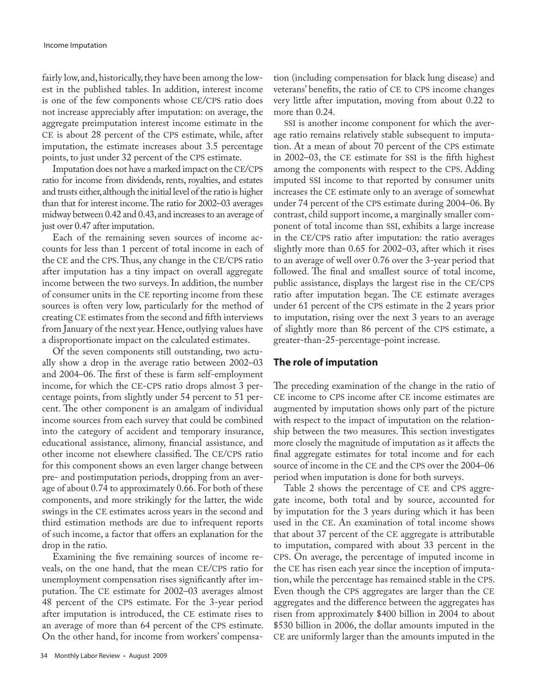fairly low, and, historically, they have been among the lowest in the published tables. In addition, interest income is one of the few components whose CE/CPS ratio does not increase appreciably after imputation: on average, the aggregate preimputation interest income estimate in the CE is about 28 percent of the CPS estimate, while, after imputation, the estimate increases about 3.5 percentage points, to just under 32 percent of the CPS estimate.

Imputation does not have a marked impact on the CE/CPS ratio for income from dividends, rents, royalties, and estates and trusts either, although the initial level of the ratio is higher than that for interest income. The ratio for 2002–03 averages midway between 0.42 and 0.43, and increases to an average of just over 0.47 after imputation.

Each of the remaining seven sources of income accounts for less than 1 percent of total income in each of the CE and the CPS. Thus, any change in the CE/CPS ratio after imputation has a tiny impact on overall aggregate income between the two surveys. In addition, the number of consumer units in the CE reporting income from these sources is often very low, particularly for the method of creating CE estimates from the second and fifth interviews from January of the next year. Hence, outlying values have a disproportionate impact on the calculated estimates.

Of the seven components still outstanding, two actually show a drop in the average ratio between 2002–03 and 2004–06. The first of these is farm self-employment income, for which the CE-CPS ratio drops almost 3 percentage points, from slightly under 54 percent to 51 percent. The other component is an amalgam of individual income sources from each survey that could be combined into the category of accident and temporary insurance, educational assistance, alimony, financial assistance, and other income not elsewhere classified. The CE/CPS ratio for this component shows an even larger change between pre- and postimputation periods, dropping from an average of about 0.74 to approximately 0.66. For both of these components, and more strikingly for the latter, the wide swings in the CE estimates across years in the second and third estimation methods are due to infrequent reports of such income, a factor that offers an explanation for the drop in the ratio.

Examining the five remaining sources of income reveals, on the one hand, that the mean CE/CPS ratio for unemployment compensation rises significantly after imputation. The CE estimate for 2002–03 averages almost 48 percent of the CPS estimate. For the 3-year period after imputation is introduced, the CE estimate rises to an average of more than 64 percent of the CPS estimate. On the other hand, for income from workers' compensation (including compensation for black lung disease) and veterans' benefits, the ratio of CE to CPS income changes very little after imputation, moving from about 0.22 to more than 0.24.

SSI is another income component for which the average ratio remains relatively stable subsequent to imputation. At a mean of about 70 percent of the CPS estimate in 2002–03, the CE estimate for SSI is the fifth highest among the components with respect to the CPS. Adding imputed SSI income to that reported by consumer units increases the CE estimate only to an average of somewhat under 74 percent of the CPS estimate during 2004–06. By contrast, child support income, a marginally smaller component of total income than SSI, exhibits a large increase in the CE/CPS ratio after imputation: the ratio averages slightly more than 0.65 for 2002–03, after which it rises to an average of well over 0.76 over the 3-year period that followed. The final and smallest source of total income, public assistance, displays the largest rise in the CE/CPS ratio after imputation began. The CE estimate averages under 61 percent of the CPS estimate in the 2 years prior to imputation, rising over the next 3 years to an average of slightly more than 86 percent of the CPS estimate, a greater-than-25-percentage-point increase.

## **The role of imputation**

The preceding examination of the change in the ratio of CE income to CPS income after CE income estimates are augmented by imputation shows only part of the picture with respect to the impact of imputation on the relationship between the two measures. This section investigates more closely the magnitude of imputation as it affects the final aggregate estimates for total income and for each source of income in the CE and the CPS over the 2004–06 period when imputation is done for both surveys.

Table 2 shows the percentage of CE and CPS aggregate income, both total and by source, accounted for by imputation for the 3 years during which it has been used in the CE. An examination of total income shows that about 37 percent of the CE aggregate is attributable to imputation, compared with about 33 percent in the CPS. On average, the percentage of imputed income in the CE has risen each year since the inception of imputation, while the percentage has remained stable in the CPS. Even though the CPS aggregates are larger than the CE aggregates and the difference between the aggregates has risen from approximately \$400 billion in 2004 to about \$530 billion in 2006, the dollar amounts imputed in the CE are uniformly larger than the amounts imputed in the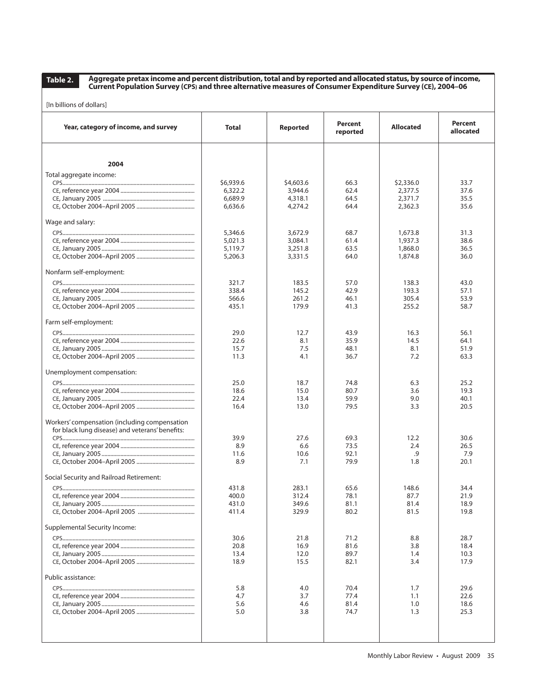**Aggregate pretax income and percent distribution, total and by reported and allocated status, by source of income, Current Population Survey (CPS) and three alternative measures of Consumer Expenditure Survey (CE), 2004–06**

| [In billions of dollars] |  |
|--------------------------|--|
|--------------------------|--|

| Year, category of income, and survey                                                             | <b>Total</b>   | Reported       | Percent<br>reported | <b>Allocated</b> | Percent<br>allocated |
|--------------------------------------------------------------------------------------------------|----------------|----------------|---------------------|------------------|----------------------|
| 2004                                                                                             |                |                |                     |                  |                      |
|                                                                                                  |                |                |                     |                  |                      |
| Total aggregate income:                                                                          | \$6,939.6      | \$4,603.6      | 66.3                | \$2,336.0        | 33.7                 |
|                                                                                                  | 6,322.2        | 3,944.6        | 62.4                | 2,377.5          | 37.6                 |
|                                                                                                  | 6,689.9        | 4,318.1        | 64.5                | 2,371.7          | 35.5                 |
|                                                                                                  | 6,636.6        | 4,274.2        | 64.4                | 2,362.3          | 35.6                 |
| Wage and salary:                                                                                 |                |                |                     |                  |                      |
|                                                                                                  | 5,346.6        | 3,672.9        | 68.7                | 1.673.8          | 31.3                 |
|                                                                                                  | 5,021.3        | 3,084.1        | 61.4                | 1,937.3          | 38.6                 |
|                                                                                                  | 5,119.7        | 3,251.8        | 63.5                | 1,868.0          | 36.5                 |
|                                                                                                  | 5,206.3        | 3,331.5        | 64.0                | 1,874.8          | 36.0                 |
| Nonfarm self-employment:                                                                         |                |                |                     |                  |                      |
|                                                                                                  | 321.7          | 183.5          | 57.0                | 138.3            | 43.0                 |
|                                                                                                  | 338.4          | 145.2          | 42.9                | 193.3            | 57.1                 |
|                                                                                                  | 566.6<br>435.1 | 261.2<br>179.9 | 46.1<br>41.3        | 305.4<br>255.2   | 53.9<br>58.7         |
|                                                                                                  |                |                |                     |                  |                      |
| Farm self-employment:                                                                            |                |                |                     |                  |                      |
|                                                                                                  | 29.0           | 12.7           | 43.9                | 16.3             | 56.1                 |
|                                                                                                  | 22.6           | 8.1            | 35.9                | 14.5             | 64.1                 |
|                                                                                                  | 15.7           | 7.5            | 48.1                | 8.1              | 51.9                 |
|                                                                                                  | 11.3           | 4.1            | 36.7                | 7.2              | 63.3                 |
| Unemployment compensation:                                                                       |                |                |                     |                  |                      |
|                                                                                                  | 25.0           | 18.7           | 74.8                | 6.3              | 25.2                 |
|                                                                                                  | 18.6           | 15.0           | 80.7                | 3.6              | 19.3                 |
|                                                                                                  | 22.4           | 13.4           | 59.9                | 9.0              | 40.1                 |
|                                                                                                  | 16.4           | 13.0           | 79.5                | 3.3              | 20.5                 |
| Workers' compensation (including compensation<br>for black lung disease) and veterans' benefits: |                |                |                     |                  |                      |
|                                                                                                  | 39.9           | 27.6           | 69.3                | 12.2             | 30.6                 |
|                                                                                                  | 8.9            | 6.6            | 73.5                | 2.4              | 26.5                 |
|                                                                                                  | 11.6           | 10.6           | 92.1                | .9               | 7.9                  |
|                                                                                                  | 8.9            | 7.1            | 79.9                | 1.8              | 20.1                 |
| Social Security and Railroad Retirement:                                                         |                |                |                     |                  |                      |
|                                                                                                  | 431.8          | 283.1          | 65.6                | 148.6            | 34.4                 |
|                                                                                                  | 400.0          | 312.4          | 78.1                | 87.7             | 21.9                 |
|                                                                                                  | 431.0          | 349.6          | 81.1                | 81.4             | 18.9                 |
|                                                                                                  | 411.4          | 329.9          | 80.2                | 81.5             | 19.8                 |
| Supplemental Security Income:                                                                    |                |                |                     |                  |                      |
|                                                                                                  | 30.6           | 21.8           | 71.2                | 8.8              | 28.7                 |
|                                                                                                  | 20.8           | 16.9           | 81.6                | 3.8              | 18.4                 |
|                                                                                                  | 13.4           | 12.0           | 89.7                | 1.4              | 10.3                 |
|                                                                                                  | 18.9           | 15.5           | 82.1                | 3.4              | 17.9                 |
| Public assistance:                                                                               |                |                |                     |                  |                      |
|                                                                                                  | 5.8            | 4.0            | 70.4                | 1.7              | 29.6                 |
|                                                                                                  | 4.7            | 3.7            | 77.4                | 1.1              | 22.6                 |
|                                                                                                  | 5.6            | 4.6            | 81.4                | 1.0              | 18.6                 |
|                                                                                                  | 5.0            | 3.8            | 74.7                | 1.3              | 25.3                 |
|                                                                                                  |                |                |                     |                  |                      |
|                                                                                                  |                |                |                     |                  |                      |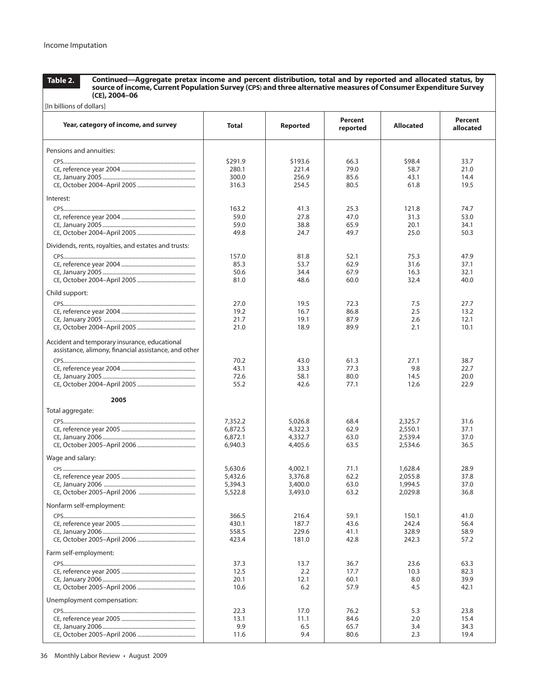**Continued—Aggregate pretax income and percent distribution, total and by reported and allocated status, by source of income, Current Population Survey (CPS) and three alternative measures of Consumer Expenditure Survey (CE), 2004–06**

| [In billions of dollars]                                                                              |                    |                    |                     |                    |                             |  |  |  |  |
|-------------------------------------------------------------------------------------------------------|--------------------|--------------------|---------------------|--------------------|-----------------------------|--|--|--|--|
| Year, category of income, and survey                                                                  | Total              | Reported           | Percent<br>reported | <b>Allocated</b>   | <b>Percent</b><br>allocated |  |  |  |  |
| Pensions and annuities:                                                                               |                    |                    |                     |                    |                             |  |  |  |  |
|                                                                                                       |                    |                    |                     |                    |                             |  |  |  |  |
|                                                                                                       | \$291.9<br>280.1   | \$193.6<br>221.4   | 66.3<br>79.0        | \$98.4<br>58.7     | 33.7<br>21.0                |  |  |  |  |
|                                                                                                       | 300.0              | 256.9              | 85.6                | 43.1               | 14.4                        |  |  |  |  |
|                                                                                                       | 316.3              | 254.5              | 80.5                | 61.8               | 19.5                        |  |  |  |  |
|                                                                                                       |                    |                    |                     |                    |                             |  |  |  |  |
| Interest:                                                                                             |                    |                    |                     |                    |                             |  |  |  |  |
|                                                                                                       | 163.2              | 41.3               | 25.3                | 121.8              | 74.7                        |  |  |  |  |
|                                                                                                       | 59.0               | 27.8               | 47.0                | 31.3               | 53.0                        |  |  |  |  |
|                                                                                                       | 59.0               | 38.8               | 65.9                | 20.1               | 34.1                        |  |  |  |  |
|                                                                                                       | 49.8               | 24.7               | 49.7                | 25.0               | 50.3                        |  |  |  |  |
| Dividends, rents, royalties, and estates and trusts:                                                  |                    |                    |                     |                    |                             |  |  |  |  |
|                                                                                                       | 157.0              |                    | 52.1                | 75.3               |                             |  |  |  |  |
|                                                                                                       | 85.3               | 81.8<br>53.7       | 62.9                | 31.6               | 47.9<br>37.1                |  |  |  |  |
|                                                                                                       | 50.6               | 34.4               | 67.9                | 16.3               | 32.1                        |  |  |  |  |
|                                                                                                       | 81.0               | 48.6               | 60.0                | 32.4               | 40.0                        |  |  |  |  |
|                                                                                                       |                    |                    |                     |                    |                             |  |  |  |  |
| Child support:                                                                                        |                    |                    |                     |                    |                             |  |  |  |  |
|                                                                                                       | 27.0               | 19.5               | 72.3                | 7.5                | 27.7                        |  |  |  |  |
|                                                                                                       | 19.2               | 16.7               | 86.8                | 2.5                | 13.2                        |  |  |  |  |
|                                                                                                       | 21.7               | 19.1               | 87.9                | 2.6                | 12.1                        |  |  |  |  |
|                                                                                                       | 21.0               | 18.9               | 89.9                | 2.1                | 10.1                        |  |  |  |  |
| Accident and temporary insurance, educational<br>assistance, alimony, financial assistance, and other |                    |                    |                     |                    |                             |  |  |  |  |
|                                                                                                       | 70.2               | 43.0               | 61.3                | 27.1               | 38.7                        |  |  |  |  |
|                                                                                                       | 43.1               | 33.3               | 77.3                | 9.8                | 22.7                        |  |  |  |  |
|                                                                                                       | 72.6               | 58.1               | 80.0                | 14.5               | 20.0                        |  |  |  |  |
|                                                                                                       | 55.2               | 42.6               | 77.1                | 12.6               | 22.9                        |  |  |  |  |
| 2005                                                                                                  |                    |                    |                     |                    |                             |  |  |  |  |
| Total aggregate:                                                                                      |                    |                    |                     |                    |                             |  |  |  |  |
|                                                                                                       |                    |                    |                     |                    |                             |  |  |  |  |
|                                                                                                       | 7,352.2            | 5,026.8<br>4,322.3 | 68.4<br>62.9        | 2,325.7<br>2,550.1 | 31.6<br>37.1                |  |  |  |  |
|                                                                                                       | 6,872.5<br>6,872.1 | 4,332.7            | 63.0                | 2,539.4            | 37.0                        |  |  |  |  |
|                                                                                                       | 6,940.3            | 4,405.6            | 63.5                | 2,534.6            | 36.5                        |  |  |  |  |
|                                                                                                       |                    |                    |                     |                    |                             |  |  |  |  |
| Wage and salary:                                                                                      |                    |                    |                     |                    |                             |  |  |  |  |
|                                                                                                       | 5,630.6            | 4,002.1            | 71.1                | 1,628.4            | 28.9                        |  |  |  |  |
|                                                                                                       | 5,432.6            | 3,376.8            | 62.2                | 2,055.8            | 37.8                        |  |  |  |  |
|                                                                                                       | 5,394.3            | 3,400.0            | 63.0                | 1,994.5            | 37.0                        |  |  |  |  |
|                                                                                                       | 5,522.8            | 3,493.0            | 63.2                | 2,029.8            | 36.8                        |  |  |  |  |
| Nonfarm self-employment:                                                                              |                    |                    |                     |                    |                             |  |  |  |  |
|                                                                                                       | 366.5              | 216.4              | 59.1                | 150.1              | 41.0                        |  |  |  |  |
|                                                                                                       | 430.1              | 187.7              | 43.6                | 242.4              | 56.4                        |  |  |  |  |
|                                                                                                       | 558.5              | 229.6              | 41.1                | 328.9              | 58.9                        |  |  |  |  |
|                                                                                                       | 423.4              | 181.0              | 42.8                | 242.3              | 57.2                        |  |  |  |  |
| Farm self-employment:                                                                                 |                    |                    |                     |                    |                             |  |  |  |  |
|                                                                                                       | 37.3               | 13.7               | 36.7                | 23.6               | 63.3                        |  |  |  |  |
|                                                                                                       | 12.5               | 2.2                | 17.7                | 10.3               | 82.3                        |  |  |  |  |
|                                                                                                       | 20.1               | 12.1               | 60.1                | 8.0                | 39.9                        |  |  |  |  |
|                                                                                                       | 10.6               | 6.2                | 57.9                | 4.5                | 42.1                        |  |  |  |  |
| Unemployment compensation:                                                                            |                    |                    |                     |                    |                             |  |  |  |  |
|                                                                                                       |                    |                    |                     |                    |                             |  |  |  |  |
|                                                                                                       | 22.3<br>13.1       | 17.0<br>11.1       | 76.2<br>84.6        | 5.3<br>2.0         | 23.8<br>15.4                |  |  |  |  |
|                                                                                                       | 9.9                | 6.5                | 65.7                | 3.4                | 34.3                        |  |  |  |  |
|                                                                                                       | 11.6               | 9.4                | 80.6                | 2.3                | 19.4                        |  |  |  |  |
|                                                                                                       |                    |                    |                     |                    |                             |  |  |  |  |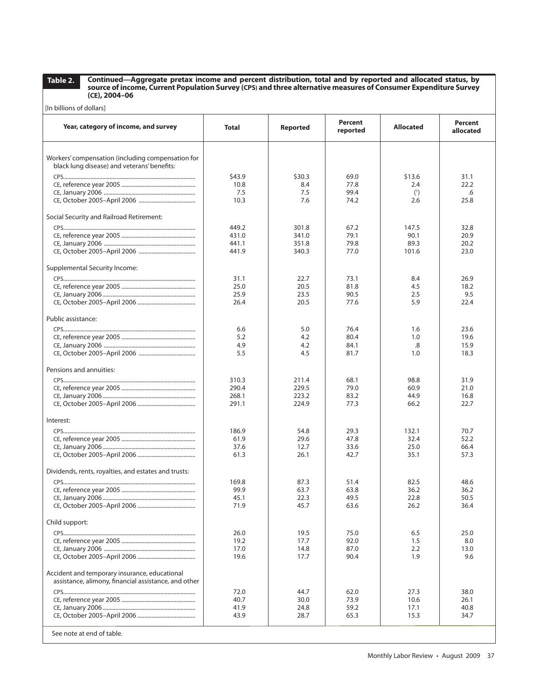**Continued—Aggregate pretax income and percent distribution, total and by reported and allocated status, by source of income, Current Population Survey (CPS) and three alternative measures of Consumer Expenditure Survey (CE), 2004–06**

| [In billions of dollars]                                                                              |                |              |                     |                  |                      |  |  |  |  |
|-------------------------------------------------------------------------------------------------------|----------------|--------------|---------------------|------------------|----------------------|--|--|--|--|
| Year, category of income, and survey                                                                  | <b>Total</b>   | Reported     | Percent<br>reported | <b>Allocated</b> | Percent<br>allocated |  |  |  |  |
| Workers' compensation (including compensation for                                                     |                |              |                     |                  |                      |  |  |  |  |
| black lung disease) and veterans' benefits:                                                           |                |              |                     |                  |                      |  |  |  |  |
|                                                                                                       | \$43.9         | \$30.3       | 69.0                | \$13.6           | 31.1                 |  |  |  |  |
|                                                                                                       | 10.8           | 8.4          | 77.8                | 2.4              | 22.2                 |  |  |  |  |
|                                                                                                       | 7.5<br>10.3    | 7.5<br>7.6   | 99.4<br>74.2        | (1)<br>2.6       | .6<br>25.8           |  |  |  |  |
|                                                                                                       |                |              |                     |                  |                      |  |  |  |  |
| Social Security and Railroad Retirement:                                                              |                |              |                     |                  |                      |  |  |  |  |
|                                                                                                       | 449.2          | 301.8        | 67.2                | 147.5            | 32.8                 |  |  |  |  |
|                                                                                                       | 431.0          | 341.0        | 79.1                | 90.1             | 20.9                 |  |  |  |  |
|                                                                                                       | 441.1<br>441.9 | 351.8        | 79.8                | 89.3<br>101.6    | 20.2                 |  |  |  |  |
|                                                                                                       |                | 340.3        | 77.0                |                  | 23.0                 |  |  |  |  |
| Supplemental Security Income:                                                                         |                |              |                     |                  |                      |  |  |  |  |
|                                                                                                       | 31.1           | 22.7         | 73.1                | 8.4              | 26.9                 |  |  |  |  |
|                                                                                                       | 25.0           | 20.5         | 81.8                | 4.5              | 18.2                 |  |  |  |  |
|                                                                                                       | 25.9<br>26.4   | 23.5<br>20.5 | 90.5<br>77.6        | 2.5<br>5.9       | 9.5<br>22.4          |  |  |  |  |
|                                                                                                       |                |              |                     |                  |                      |  |  |  |  |
| Public assistance:                                                                                    |                |              |                     |                  |                      |  |  |  |  |
|                                                                                                       | 6.6            | 5.0          | 76.4                | 1.6              | 23.6                 |  |  |  |  |
|                                                                                                       | 5.2            | 4.2          | 80.4                | 1.0              | 19.6                 |  |  |  |  |
|                                                                                                       | 4.9<br>5.5     | 4.2<br>4.5   | 84.1                | .8               | 15.9                 |  |  |  |  |
|                                                                                                       |                |              | 81.7                | 1.0              | 18.3                 |  |  |  |  |
| Pensions and annuities:                                                                               |                |              |                     |                  |                      |  |  |  |  |
|                                                                                                       | 310.3          | 211.4        | 68.1                | 98.8             | 31.9                 |  |  |  |  |
|                                                                                                       | 290.4          | 229.5        | 79.0                | 60.9             | 21.0                 |  |  |  |  |
|                                                                                                       | 268.1          | 223.2        | 83.2                | 44.9             | 16.8                 |  |  |  |  |
|                                                                                                       | 291.1          | 224.9        | 77.3                | 66.2             | 22.7                 |  |  |  |  |
| Interest:                                                                                             |                |              |                     |                  |                      |  |  |  |  |
|                                                                                                       | 186.9          | 54.8         | 29.3                | 132.1            | 70.7                 |  |  |  |  |
|                                                                                                       | 61.9           | 29.6         | 47.8                | 32.4             | 52.2                 |  |  |  |  |
|                                                                                                       | 37.6           | 12.7         | 33.6                | 25.0             | 66.4                 |  |  |  |  |
|                                                                                                       | 61.3           | 26.1         | 42.7                | 35.1             | 57.3                 |  |  |  |  |
| Dividends, rents, royalties, and estates and trusts:                                                  |                |              |                     |                  |                      |  |  |  |  |
|                                                                                                       | 169.8          | 87.3         | 51.4                | 82.5             | 48.6                 |  |  |  |  |
|                                                                                                       | 99.9           | 63.7         | 63.8                | 36.2             | 36.2                 |  |  |  |  |
|                                                                                                       | 45.1           | 22.3         | 49.5                | 22.8             | 50.5                 |  |  |  |  |
|                                                                                                       | 71.9           | 45.7         | 63.6                | 26.2             | 36.4                 |  |  |  |  |
| Child support:                                                                                        |                |              |                     |                  |                      |  |  |  |  |
|                                                                                                       | 26.0           | 19.5         | 75.0                | 6.5              | 25.0                 |  |  |  |  |
|                                                                                                       | 19.2           | 17.7         | 92.0                | 1.5              | 8.0                  |  |  |  |  |
|                                                                                                       | 17.0           | 14.8         | 87.0                | 2.2              | 13.0                 |  |  |  |  |
|                                                                                                       | 19.6           | 17.7         | 90.4                | 1.9              | 9.6                  |  |  |  |  |
| Accident and temporary insurance, educational<br>assistance, alimony, financial assistance, and other |                |              |                     |                  |                      |  |  |  |  |
|                                                                                                       | 72.0           | 44.7         | 62.0                | 27.3             | 38.0                 |  |  |  |  |
|                                                                                                       | 40.7           | 30.0         | 73.9                | 10.6             | 26.1                 |  |  |  |  |
|                                                                                                       | 41.9           | 24.8         | 59.2                | 17.1             | 40.8                 |  |  |  |  |
|                                                                                                       | 43.9           | 28.7         | 65.3                | 15.3             | 34.7                 |  |  |  |  |
| See note at end of table.                                                                             |                |              |                     |                  |                      |  |  |  |  |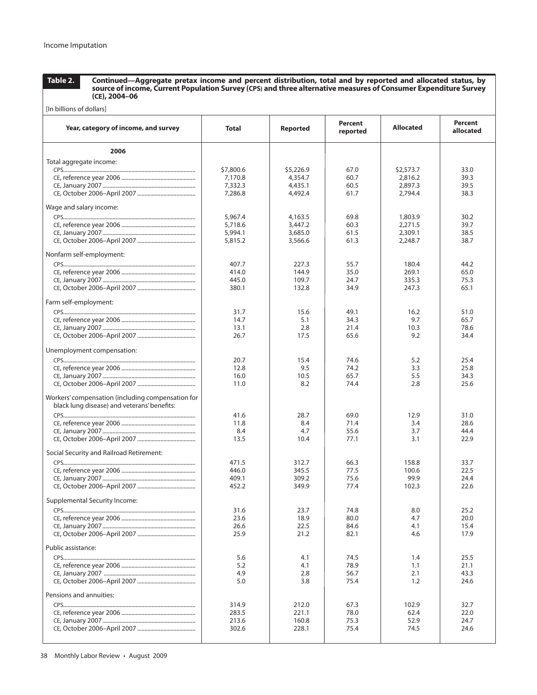[In billions of dollars]

**Table 2.**

**Continued—Aggregate pretax income and percent distribution, total and by reported and allocated status, by source of income, Current Population Survey (CPS) and three alternative measures of Consumer Expenditure Survey (CE), 2004–06**

| Year, category of income, and survey                                                             | Total        | <b>Reported</b> | Percent<br>reported | <b>Allocated</b> | Percent<br>allocated |
|--------------------------------------------------------------------------------------------------|--------------|-----------------|---------------------|------------------|----------------------|
| 2006                                                                                             |              |                 |                     |                  |                      |
| Total aggregate income:                                                                          |              |                 |                     |                  |                      |
|                                                                                                  | \$7,800.6    | \$5,226.9       | 67.0                | \$2,573.7        | 33.0                 |
|                                                                                                  | 7,170.8      | 4,354.7         | 60.7                | 2,816.2          | 39.3                 |
|                                                                                                  | 7,332.3      | 4,435.1         | 60.5                | 2,897.3          | 39.5                 |
|                                                                                                  | 7,286.8      | 4,492.4         | 61.7                | 2,794.4          | 38.3                 |
| Wage and salary income:                                                                          | 5,967.4      | 4,163.5         | 69.8                | 1,803.9          | 30.2                 |
|                                                                                                  | 5,718.6      | 3,447.2         | 60.3                | 2.271.5          | 39.7                 |
|                                                                                                  | 5,994.1      | 3,685.0         | 61.5                | 2,309.1          | 38.5                 |
|                                                                                                  | 5,815.2      | 3,566.6         | 61.3                | 2.248.7          | 38.7                 |
| Nonfarm self-employment:                                                                         |              |                 |                     |                  |                      |
|                                                                                                  | 407.7        | 227.3           | 55.7                | 180.4            | 44.2                 |
|                                                                                                  | 414.0        | 144.9           | 35.0                | 269.1            | 65.0                 |
|                                                                                                  | 445.0        | 109.7           | 24.7                | 335.3            | 75.3                 |
|                                                                                                  | 380.1        | 132.8           | 34.9                | 247.3            | 65.1                 |
| Farm self-employment:                                                                            |              |                 |                     |                  |                      |
|                                                                                                  | 31.7         | 15.6            | 49.1                | 16.2             | 51.0                 |
|                                                                                                  | 14.7         | 5.1             | 34.3                | 9.7              | 65.7                 |
|                                                                                                  | 13.1         | 2.8             | 21.4                | 10.3             | 78.6                 |
|                                                                                                  | 26.7         | 17.5            | 65.6                | 9.2              | 34.4                 |
| Unemployment compensation:                                                                       |              |                 |                     |                  |                      |
|                                                                                                  | 20.7         | 15.4            | 74.6                | 5.2              | 25.4                 |
|                                                                                                  | 12.8<br>16.0 | 9.5<br>10.5     | 74.2<br>65.7        | 3.3<br>5.5       | 25.8<br>34.3         |
|                                                                                                  | 11.0         | 8.2             | 74.4                | 2.8              | 25.6                 |
|                                                                                                  |              |                 |                     |                  |                      |
| Workers' compensation (including compensation for<br>black lung disease) and veterans' benefits: |              |                 |                     |                  |                      |
|                                                                                                  | 41.6         | 28.7            | 69.0                | 12.9             | 31.0                 |
|                                                                                                  | 11.8         | 8.4             | 71.4                | 3.4              | 28.6                 |
|                                                                                                  | 8.4          | 4.7             | 55.6                | 3.7              | 44.4                 |
|                                                                                                  | 13.5         | 10.4            | 77.1                | 3.1              | 22.9                 |
| Social Security and Railroad Retirement:                                                         | 471.5        |                 |                     |                  |                      |
|                                                                                                  | 446.0        | 312.7<br>345.5  | 66.3<br>77.5        | 158.8<br>100.6   | 33.7<br>22.5         |
|                                                                                                  | 409.1        | 309.2           | 75.6                | 99.9             | 24.4                 |
|                                                                                                  | 452.2        | 349.9           | 77.4                | 102.3            | 22.6                 |
| Supplemental Security Income:                                                                    |              |                 |                     |                  |                      |
|                                                                                                  | 31.6         | 23.7            | 74.8                | 8.0              | 25.2                 |
|                                                                                                  | 23.6         | 18.9            | 80.0                | 4.7              | 20.0                 |
|                                                                                                  | 26.6         | 22.5            | 84.6                | 4.1              | 15.4                 |
|                                                                                                  | 25.9         | 21.2            | 82.1                | 4.6              | 17.9                 |
| Public assistance:                                                                               |              |                 |                     |                  |                      |
|                                                                                                  | 5.6<br>5.2   | 4.1<br>4.1      | 74.5<br>78.9        | 1.4<br>1.1       | 25.5<br>21.1         |
|                                                                                                  | 4.9          | 2.8             | 56.7                | 2.1              | 43.3                 |
|                                                                                                  | 5.0          | 3.8             | 75.4                | 1.2              | 24.6                 |
| Pensions and annuities:                                                                          |              |                 |                     |                  |                      |
|                                                                                                  | 314.9        | 212.0           | 67.3                | 102.9            | 32.7                 |
|                                                                                                  | 283.5        | 221.1           | 78.0                | 62.4             | 22.0                 |
|                                                                                                  | 213.6        | 160.8           | 75.3                | 52.9             | 24.7                 |
|                                                                                                  | 302.6        | 228.1           | 75.4                | 74.5             | 24.6                 |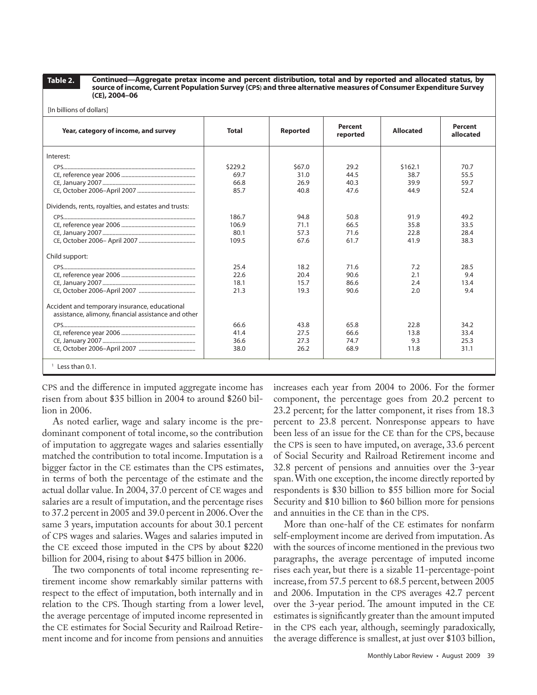[In billions of dollars]

**Continued—Aggregate pretax income and percent distribution, total and by reported and allocated status, by source of income, Current Population Survey (CPS) and three alternative measures of Consumer Expenditure Survey (CE), 2004–06**

| Year, category of income, and survey                                                                 | <b>Total</b> | <b>Reported</b> | <b>Percent</b><br>reported | <b>Allocated</b> | Percent<br>allocated |
|------------------------------------------------------------------------------------------------------|--------------|-----------------|----------------------------|------------------|----------------------|
| Interest:                                                                                            |              |                 |                            |                  |                      |
|                                                                                                      | \$229.2      | \$67.0          | 29.2                       | \$162.1          | 70.7                 |
|                                                                                                      | 69.7         | 31.0            | 44.5                       | 38.7             | 55.5                 |
|                                                                                                      | 66.8         | 26.9            | 40.3                       | 39.9             | 59.7                 |
|                                                                                                      | 85.7         | 40.8            | 47.6                       | 44.9             | 52.4                 |
| Dividends, rents, royalties, and estates and trusts:                                                 |              |                 |                            |                  |                      |
|                                                                                                      | 186.7        | 94.8            | 50.8                       | 91.9             | 49.2                 |
|                                                                                                      | 106.9        | 71.1            | 66.5                       | 35.8             | 33.5                 |
|                                                                                                      | 80.1         | 57.3            | 71.6                       | 22.8             | 28.4                 |
|                                                                                                      | 109.5        | 67.6            | 61.7                       | 41.9             | 38.3                 |
| Child support:                                                                                       |              |                 |                            |                  |                      |
|                                                                                                      | 25.4         | 18.2            | 71.6                       | 7.2              | 28.5                 |
|                                                                                                      | 22.6         | 20.4            | 90.6                       | 2.1              | 9.4                  |
|                                                                                                      | 18.1         | 15.7            | 86.6                       | 2.4              | 13.4                 |
|                                                                                                      | 21.3         | 19.3            | 90.6                       | 2.0              | 9.4                  |
| Accident and temporary insurance, educational<br>assistance, alimony, financial assistance and other |              |                 |                            |                  |                      |
|                                                                                                      | 66.6         | 43.8            | 65.8                       | 22.8             | 34.2                 |
|                                                                                                      | 41.4         | 27.5            | 66.6                       | 13.8             | 33.4                 |
|                                                                                                      | 36.6         | 27.3            | 74.7                       | 9.3              | 25.3                 |
|                                                                                                      | 38.0         | 26.2            | 68.9                       | 11.8             | 31.1                 |
| $1$ Less than 0.1.                                                                                   |              |                 |                            |                  |                      |

CPS and the difference in imputed aggregate income has risen from about \$35 billion in 2004 to around \$260 billion in 2006.

As noted earlier, wage and salary income is the predominant component of total income, so the contribution of imputation to aggregate wages and salaries essentially matched the contribution to total income. Imputation is a bigger factor in the CE estimates than the CPS estimates, in terms of both the percentage of the estimate and the actual dollar value. In 2004, 37.0 percent of CE wages and salaries are a result of imputation, and the percentage rises to 37.2 percent in 2005 and 39.0 percent in 2006. Over the same 3 years, imputation accounts for about 30.1 percent of CPS wages and salaries. Wages and salaries imputed in the CE exceed those imputed in the CPS by about \$220 billion for 2004, rising to about \$475 billion in 2006.

The two components of total income representing retirement income show remarkably similar patterns with respect to the effect of imputation, both internally and in relation to the CPS. Though starting from a lower level, the average percentage of imputed income represented in the CE estimates for Social Security and Railroad Retirement income and for income from pensions and annuities increases each year from 2004 to 2006. For the former component, the percentage goes from 20.2 percent to 23.2 percent; for the latter component, it rises from 18.3 percent to 23.8 percent. Nonresponse appears to have been less of an issue for the CE than for the CPS, because the CPS is seen to have imputed, on average, 33.6 percent of Social Security and Railroad Retirement income and 32.8 percent of pensions and annuities over the 3-year span. With one exception, the income directly reported by respondents is \$30 billion to \$55 billion more for Social Security and \$10 billion to \$60 billion more for pensions and annuities in the CE than in the CPS.

More than one-half of the CE estimates for nonfarm self-employment income are derived from imputation. As with the sources of income mentioned in the previous two paragraphs, the average percentage of imputed income rises each year, but there is a sizable 11-percentage-point increase, from 57.5 percent to 68.5 percent, between 2005 and 2006. Imputation in the CPS averages 42.7 percent over the 3-year period. The amount imputed in the CE estimates is significantly greater than the amount imputed in the CPS each year, although, seemingly paradoxically, the average difference is smallest, at just over \$103 billion,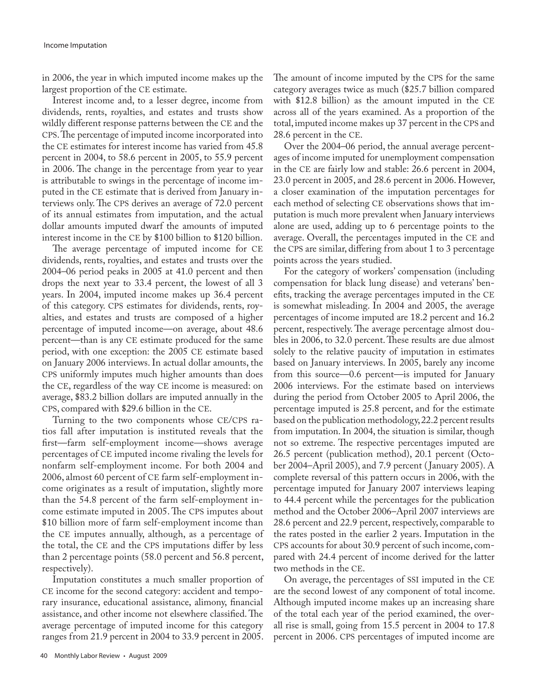in 2006, the year in which imputed income makes up the largest proportion of the CE estimate.

Interest income and, to a lesser degree, income from dividends, rents, royalties, and estates and trusts show wildly different response patterns between the CE and the CPS. The percentage of imputed income incorporated into the CE estimates for interest income has varied from 45.8 percent in 2004, to 58.6 percent in 2005, to 55.9 percent in 2006. The change in the percentage from year to year is attributable to swings in the percentage of income imputed in the CE estimate that is derived from January interviews only. The CPS derives an average of 72.0 percent of its annual estimates from imputation, and the actual dollar amounts imputed dwarf the amounts of imputed interest income in the CE by \$100 billion to \$120 billion.

The average percentage of imputed income for CE dividends, rents, royalties, and estates and trusts over the 2004–06 period peaks in 2005 at 41.0 percent and then drops the next year to 33.4 percent, the lowest of all 3 years. In 2004, imputed income makes up 36.4 percent of this category. CPS estimates for dividends, rents, royalties, and estates and trusts are composed of a higher percentage of imputed income—on average, about 48.6 percent—than is any CE estimate produced for the same period, with one exception: the 2005 CE estimate based on January 2006 interviews. In actual dollar amounts, the CPS uniformly imputes much higher amounts than does the CE, regardless of the way CE income is measured: on average, \$83.2 billion dollars are imputed annually in the CPS, compared with \$29.6 billion in the CE.

Turning to the two components whose CE/CPS ratios fall after imputation is instituted reveals that the first—farm self-employment income—shows average percentages of CE imputed income rivaling the levels for nonfarm self-employment income. For both 2004 and 2006, almost 60 percent of CE farm self-employment income originates as a result of imputation, slightly more than the 54.8 percent of the farm self-employment income estimate imputed in 2005. The CPS imputes about \$10 billion more of farm self-employment income than the CE imputes annually, although, as a percentage of the total, the CE and the CPS imputations differ by less than 2 percentage points (58.0 percent and 56.8 percent, respectively).

Imputation constitutes a much smaller proportion of CE income for the second category: accident and temporary insurance, educational assistance, alimony, financial assistance, and other income not elsewhere classified. The average percentage of imputed income for this category ranges from 21.9 percent in 2004 to 33.9 percent in 2005.

40 Monthly Labor Review • August 2009

The amount of income imputed by the CPS for the same category averages twice as much (\$25.7 billion compared with \$12.8 billion) as the amount imputed in the CE across all of the years examined. As a proportion of the total, imputed income makes up 37 percent in the CPS and 28.6 percent in the CE.

Over the 2004–06 period, the annual average percentages of income imputed for unemployment compensation in the CE are fairly low and stable: 26.6 percent in 2004, 23.0 percent in 2005, and 28.6 percent in 2006. However, a closer examination of the imputation percentages for each method of selecting CE observations shows that imputation is much more prevalent when January interviews alone are used, adding up to 6 percentage points to the average. Overall, the percentages imputed in the CE and the CPS are similar, differing from about 1 to 3 percentage points across the years studied.

For the category of workers' compensation (including compensation for black lung disease) and veterans' benefits, tracking the average percentages imputed in the CE is somewhat misleading. In 2004 and 2005, the average percentages of income imputed are 18.2 percent and 16.2 percent, respectively. The average percentage almost doubles in 2006, to 32.0 percent. These results are due almost solely to the relative paucity of imputation in estimates based on January interviews. In 2005, barely any income from this source—0.6 percent—is imputed for January 2006 interviews. For the estimate based on interviews during the period from October 2005 to April 2006, the percentage imputed is 25.8 percent, and for the estimate based on the publication methodology, 22.2 percent results from imputation. In 2004, the situation is similar, though not so extreme. The respective percentages imputed are 26.5 percent (publication method), 20.1 percent (October 2004–April 2005), and 7.9 percent ( January 2005). A complete reversal of this pattern occurs in 2006, with the percentage imputed for January 2007 interviews leaping to 44.4 percent while the percentages for the publication method and the October 2006–April 2007 interviews are 28.6 percent and 22.9 percent, respectively, comparable to the rates posted in the earlier 2 years. Imputation in the CPS accounts for about 30.9 percent of such income, compared with 24.4 percent of income derived for the latter two methods in the CE.

On average, the percentages of SSI imputed in the CE are the second lowest of any component of total income. Although imputed income makes up an increasing share of the total each year of the period examined, the overall rise is small, going from 15.5 percent in 2004 to 17.8 percent in 2006. CPS percentages of imputed income are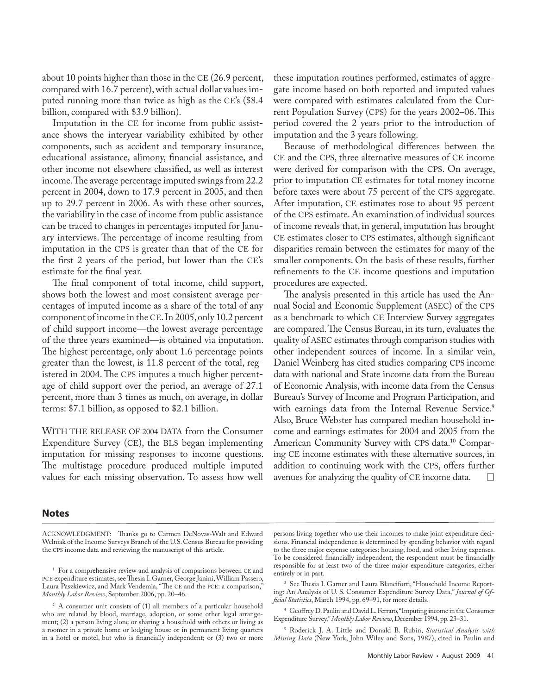about 10 points higher than those in the CE (26.9 percent, compared with 16.7 percent), with actual dollar values imputed running more than twice as high as the CE's (\$8.4 billion, compared with \$3.9 billion).

Imputation in the CE for income from public assistance shows the interyear variability exhibited by other components, such as accident and temporary insurance, educational assistance, alimony, financial assistance, and other income not elsewhere classified, as well as interest income. The average percentage imputed swings from 22.2 percent in 2004, down to 17.9 percent in 2005, and then up to 29.7 percent in 2006. As with these other sources, the variability in the case of income from public assistance can be traced to changes in percentages imputed for January interviews. The percentage of income resulting from imputation in the CPS is greater than that of the CE for the first 2 years of the period, but lower than the CE's estimate for the final year.

The final component of total income, child support, shows both the lowest and most consistent average percentages of imputed income as a share of the total of any component of income in the CE. In 2005, only 10.2 percent of child support income—the lowest average percentage of the three years examined—is obtained via imputation. The highest percentage, only about 1.6 percentage points greater than the lowest, is 11.8 percent of the total, registered in 2004. The CPS imputes a much higher percentage of child support over the period, an average of 27.1 percent, more than 3 times as much, on average, in dollar terms: \$7.1 billion, as opposed to \$2.1 billion.

WITH THE RELEASE OF 2004 DATA from the Consumer Expenditure Survey (CE), the BLS began implementing imputation for missing responses to income questions. The multistage procedure produced multiple imputed values for each missing observation. To assess how well

these imputation routines performed, estimates of aggregate income based on both reported and imputed values were compared with estimates calculated from the Current Population Survey (CPS) for the years 2002–06. This period covered the 2 years prior to the introduction of imputation and the 3 years following.

Because of methodological differences between the CE and the CPS, three alternative measures of CE income were derived for comparison with the CPS. On average, prior to imputation CE estimates for total money income before taxes were about 75 percent of the CPS aggregate. After imputation, CE estimates rose to about 95 percent of the CPS estimate. An examination of individual sources of income reveals that, in general, imputation has brought CE estimates closer to CPS estimates, although significant disparities remain between the estimates for many of the smaller components. On the basis of these results, further refinements to the CE income questions and imputation procedures are expected.

The analysis presented in this article has used the Annual Social and Economic Supplement (ASEC) of the CPS as a benchmark to which CE Interview Survey aggregates are compared. The Census Bureau, in its turn, evaluates the quality of ASEC estimates through comparison studies with other independent sources of income. In a similar vein, Daniel Weinberg has cited studies comparing CPS income data with national and State income data from the Bureau of Economic Analysis, with income data from the Census Bureau's Survey of Income and Program Participation, and with earnings data from the Internal Revenue Service.<sup>9</sup> Also, Bruce Webster has compared median household income and earnings estimates for 2004 and 2005 from the American Community Survey with CPS data.<sup>10</sup> Comparing CE income estimates with these alternative sources, in addition to continuing work with the CPS, offers further avenues for analyzing the quality of CE income data.  $\Box$ 

#### **Notes**

ACKNOWLEDGMENT: Thanks go to Carmen DeNovas-Walt and Edward Welniak of the Income Surveys Branch of the U.S. Census Bureau for providing the CPS income data and reviewing the manuscript of this article.

<sup>1</sup> For a comprehensive review and analysis of comparisons between CE and PCE expenditure estimates, see Thesia I. Garner, George Janini, William Passero, Laura Paszkiewicz, and Mark Vendemia, "The CE and the PCE: a comparison," *Monthly Labor Review*, September 2006, pp. 20–46.

<sup>2</sup> A consumer unit consists of (1) all members of a particular household who are related by blood, marriage, adoption, or some other legal arrangement; (2) a person living alone or sharing a household with others or living as a roomer in a private home or lodging house or in permanent living quarters in a hotel or motel, but who is financially independent; or (3) two or more

persons living together who use their incomes to make joint expenditure decisions. Financial independence is determined by spending behavior with regard to the three major expense categories: housing, food, and other living expenses. To be considered financially independent, the respondent must be financially responsible for at least two of the three major expenditure categories, either entirely or in part.

<sup>3</sup> See Thesia I. Garner and Laura Blanciforti, "Household Income Reporting: An Analysis of U. S. Consumer Expenditure Survey Data," *Journal of Official Statistics*, March 1994, pp. 69–91, for more details.

<sup>4</sup> Geoffrey D. Paulin and David L. Ferraro, "Imputing income in the Consumer Expenditure Survey," *Monthly Labor Review*, December 1994, pp. 23–31.

<sup>5</sup> Roderick J. A. Little and Donald B. Rubin, *Statistical Analysis with Missing Data* (New York, John Wiley and Sons, 1987), cited in Paulin and